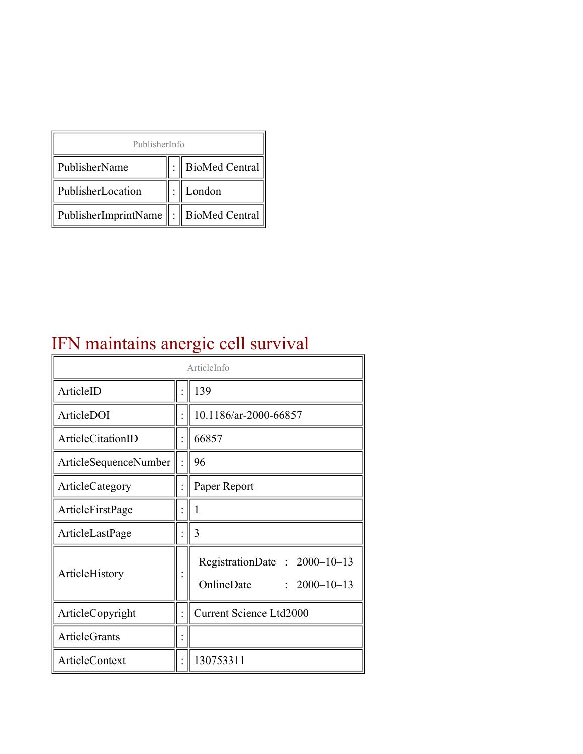| PublisherInfo                              |  |                  |  |  |
|--------------------------------------------|--|------------------|--|--|
| PublisherName                              |  | : BioMed Central |  |  |
| PublisherLocation                          |  | London           |  |  |
| PublisherImprintName   :    BioMed Central |  |                  |  |  |

# IFN maintains anergic cell survival

| ArticleInfo           |  |                                                                  |
|-----------------------|--|------------------------------------------------------------------|
| ArticleID             |  | 139                                                              |
| ArticleDOI            |  | 10.1186/ar-2000-66857                                            |
| ArticleCitationID     |  | 66857                                                            |
| ArticleSequenceNumber |  | 96                                                               |
| ArticleCategory       |  | Paper Report                                                     |
| ArticleFirstPage      |  | 1                                                                |
| ArticleLastPage       |  | 3                                                                |
| ArticleHistory        |  | RegistrationDate: 2000-10-13<br>OnlineDate<br>$: 2000 - 10 - 13$ |
| ArticleCopyright      |  | Current Science Ltd2000                                          |
| <b>ArticleGrants</b>  |  |                                                                  |
| ArticleContext        |  | 130753311                                                        |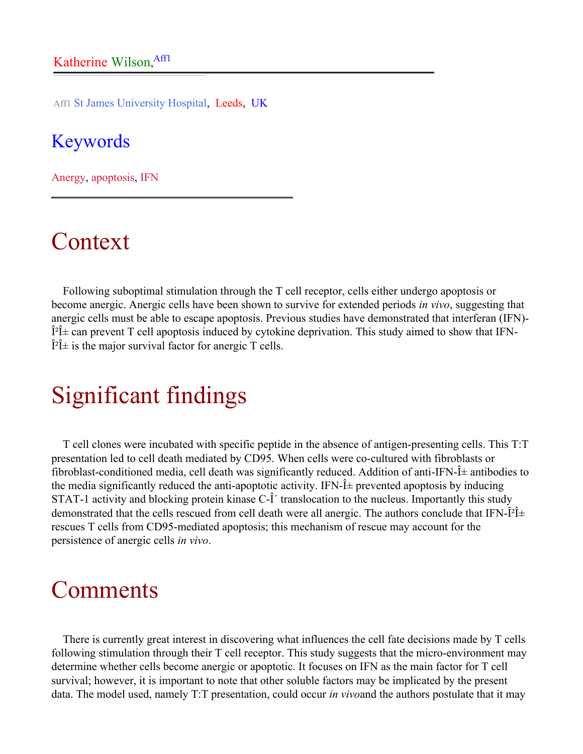Aff1 St James University Hospital, Leeds, UK

#### Keywords

Anergy, apoptosis, IFN

### Context

Following suboptimal stimulation through the T cell receptor, cells either undergo apoptosis or become anergic. Anergic cells have been shown to survive for extended periods *in vivo*, suggesting that anergic cells must be able to escape apoptosis. Previous studies have demonstrated that interferan (IFN)-  $\hat{I}^2\hat{I}$  can prevent T cell apoptosis induced by cytokine deprivation. This study aimed to show that IFN- $\hat{I}^2\hat{I}$  is the major survival factor for anergic T cells.

### Significant findings

T cell clones were incubated with specific peptide in the absence of antigen-presenting cells. This T:T presentation led to cell death mediated by CD95. When cells were co-cultured with fibroblasts or fibroblast-conditioned media, cell death was significantly reduced. Addition of anti-IFN- $\hat{I}$  antibodies to the media significantly reduced the anti-apoptotic activity. IFN- $\hat{I}$  prevented apoptosis by inducing STAT-1 activity and blocking protein kinase C- $\hat{I}$  translocation to the nucleus. Importantly this study demonstrated that the cells rescued from cell death were all anergic. The authors conclude that IFN- $\hat{I}^2\hat{I}$ + rescues T cells from CD95-mediated apoptosis; this mechanism of rescue may account for the persistence of anergic cells *in vivo*.

#### Comments

There is currently great interest in discovering what influences the cell fate decisions made by T cells following stimulation through their T cell receptor. This study suggests that the micro-environment may determine whether cells become anergic or apoptotic. It focuses on IFN as the main factor for T cell survival; however, it is important to note that other soluble factors may be implicated by the present data. The model used, namely T:T presentation, could occur *in vivo*and the authors postulate that it may